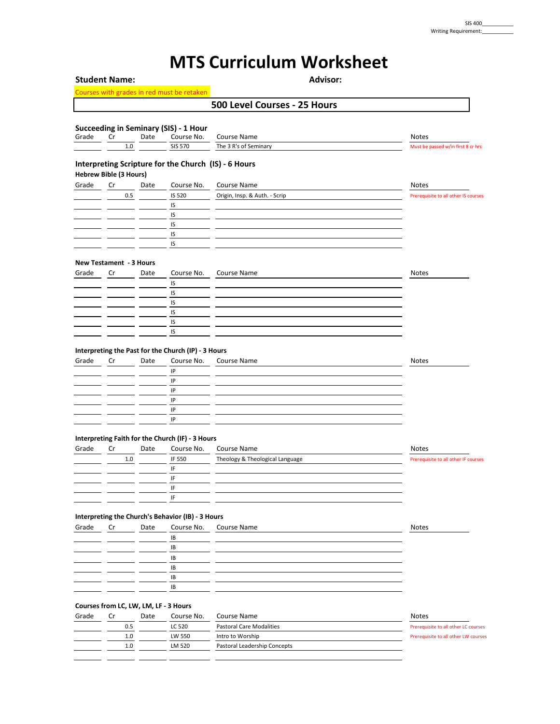## **MTS Curriculum Worksheet**

|       | <b>Student Name:</b>                  |      |                                                      | <b>Advisor:</b>                 |                                      |
|-------|---------------------------------------|------|------------------------------------------------------|---------------------------------|--------------------------------------|
|       |                                       |      | Courses with grades in red must be retaken           |                                 |                                      |
|       |                                       |      |                                                      | 500 Level Courses - 25 Hours    |                                      |
|       |                                       |      |                                                      |                                 |                                      |
|       |                                       |      | Succeeding in Seminary (SIS) - 1 Hour                |                                 |                                      |
| Grade | Cr                                    | Date | Course No.                                           | <b>Course Name</b>              | <b>Notes</b>                         |
|       | 1.0                                   |      | <b>SIS 570</b>                                       | The 3 R's of Seminary           | Must be passed w/in first 8 cr hrs   |
|       | Hebrew Bible (3 Hours)                |      | Interpreting Scripture for the Church (IS) - 6 Hours |                                 |                                      |
| Grade | Cr                                    | Date | Course No.                                           | <b>Course Name</b>              | Notes                                |
|       | 0.5                                   |      | IS 520                                               | Origin, Insp. & Auth. - Scrip   | Prerequisite to all other IS courses |
|       |                                       |      | IS                                                   |                                 |                                      |
|       |                                       |      | IS                                                   |                                 |                                      |
|       |                                       |      | IS                                                   |                                 |                                      |
|       |                                       |      | IS                                                   |                                 |                                      |
|       |                                       |      | IS                                                   |                                 |                                      |
|       |                                       |      |                                                      |                                 |                                      |
|       | <b>New Testament - 3 Hours</b>        |      | Course No.                                           |                                 |                                      |
| Grade | Cr                                    | Date | IS                                                   | Course Name                     | <b>Notes</b>                         |
|       |                                       |      | IS                                                   |                                 |                                      |
|       |                                       |      | IS                                                   |                                 |                                      |
|       |                                       |      |                                                      |                                 |                                      |
|       |                                       |      | IS<br>IS                                             |                                 |                                      |
|       |                                       |      | IS                                                   |                                 |                                      |
|       |                                       |      | IP<br>IP<br>IP<br>IP<br>IP                           |                                 |                                      |
|       |                                       |      | Interpreting Faith for the Church (IF) - 3 Hours     |                                 |                                      |
| Grade | Cr                                    | Date | Course No.                                           | Course Name                     | <b>Notes</b>                         |
|       | 1.0                                   |      | IF 550<br>IF                                         | Theology & Theological Language | Prerequisite to all other IF courses |
|       |                                       |      | IF                                                   |                                 |                                      |
|       |                                       |      | IF                                                   |                                 |                                      |
|       |                                       |      | IF                                                   |                                 |                                      |
|       |                                       |      |                                                      |                                 |                                      |
|       |                                       |      | Interpreting the Church's Behavior (IB) - 3 Hours    |                                 |                                      |
| Grade | Cr                                    | Date | Course No.                                           | Course Name                     | <b>Notes</b>                         |
|       |                                       |      | IB                                                   |                                 |                                      |
|       |                                       |      | IB                                                   |                                 |                                      |
|       |                                       |      | IB                                                   |                                 |                                      |
|       |                                       |      | IB                                                   |                                 |                                      |
|       |                                       |      | IB                                                   |                                 |                                      |
|       |                                       |      | IB                                                   |                                 |                                      |
|       | Courses from LC, LW, LM, LF - 3 Hours |      |                                                      |                                 |                                      |
| Grade | Cr                                    | Date | Course No.                                           | <b>Course Name</b>              | <b>Notes</b>                         |
|       | 0.5                                   |      | LC 520                                               | Pastoral Care Modalities        | Prerequisite to all other LC courses |
|       | 1.0                                   |      | LW 550                                               | Intro to Worship                | Prerequisite to all other LW courses |
|       | 1.0                                   |      | LM 520                                               | Pastoral Leadership Concepts    |                                      |
|       |                                       |      |                                                      |                                 |                                      |